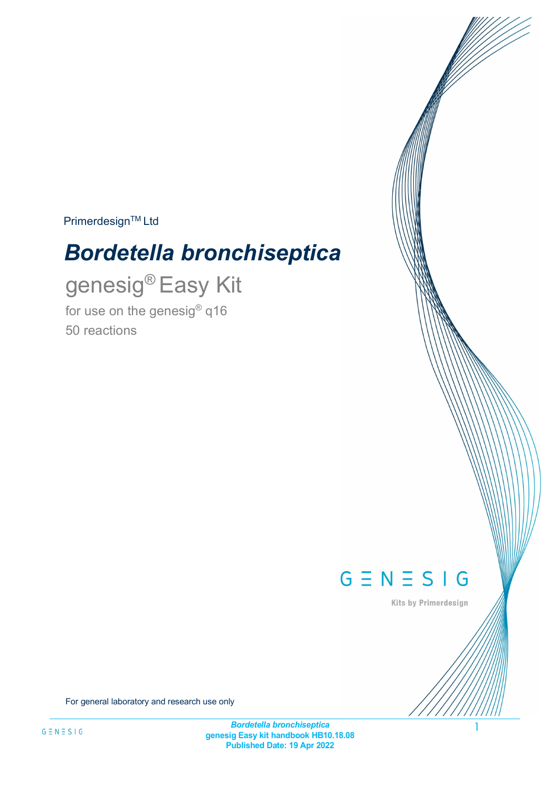**Primerdesign™ Ltd** 

# *Bordetella bronchiseptica*

genesig® Easy Kit for use on the genesig® q16 50 reactions



Kits by Primerdesign

For general laboratory and research use only

*Bordetella bronchiseptica* **genesig Easy kit handbook HB10.18.08 Published Date: 19 Apr 2022**

1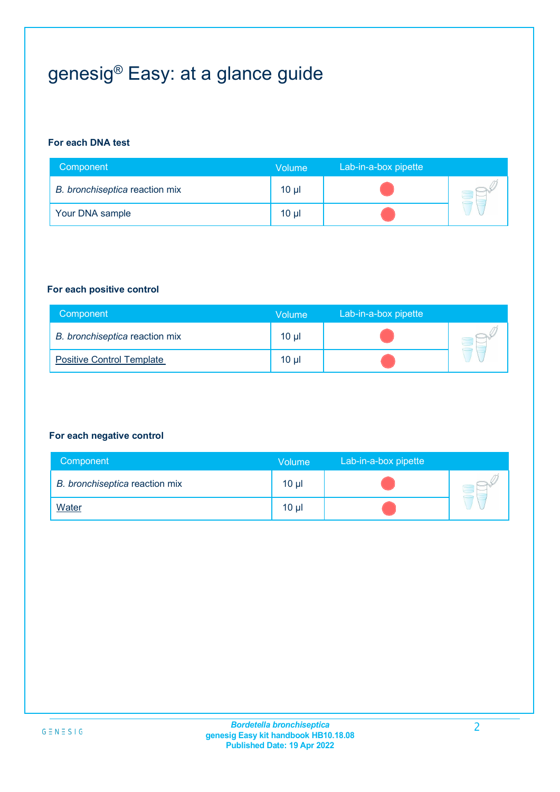# genesig® Easy: at a glance guide

### **For each DNA test**

| Component                      | Volume          | Lab-in-a-box pipette |  |
|--------------------------------|-----------------|----------------------|--|
| B. bronchiseptica reaction mix | 10 <sub>µ</sub> |                      |  |
| Your DNA sample                | 10 <sub>µ</sub> |                      |  |

#### **For each positive control**

| Component                        | Volume          | Lab-in-a-box pipette |  |
|----------------------------------|-----------------|----------------------|--|
| B. bronchiseptica reaction mix   | 10 <sub>µ</sub> |                      |  |
| <b>Positive Control Template</b> | 10 <sub>µ</sub> |                      |  |

### **For each negative control**

| Component                      | <b>Volume</b> | Lab-in-a-box pipette |  |
|--------------------------------|---------------|----------------------|--|
| B. bronchiseptica reaction mix | $10 \mu$      |                      |  |
| <b>Water</b>                   | $10 \mu$      |                      |  |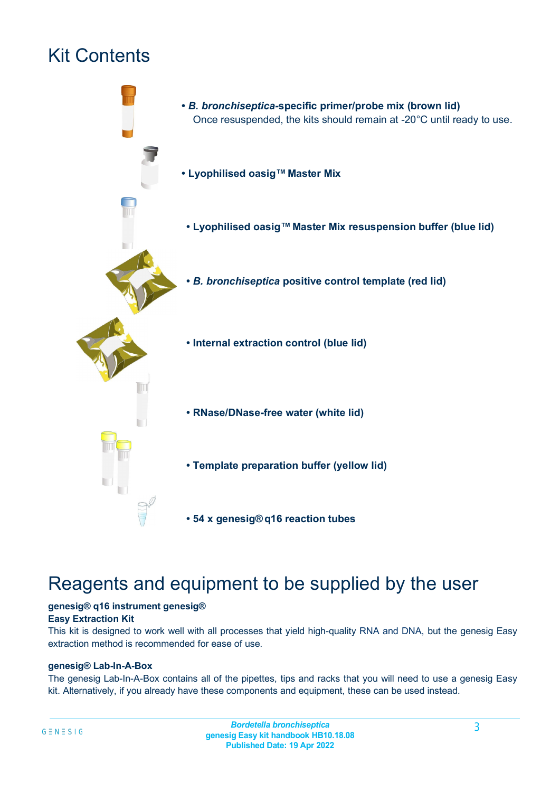## Kit Contents



### Reagents and equipment to be supplied by the user

#### **genesig® q16 instrument genesig® Easy Extraction Kit**

This kit is designed to work well with all processes that yield high-quality RNA and DNA, but the genesig Easy extraction method is recommended for ease of use.

### **genesig® Lab-In-A-Box**

The genesig Lab-In-A-Box contains all of the pipettes, tips and racks that you will need to use a genesig Easy kit. Alternatively, if you already have these components and equipment, these can be used instead.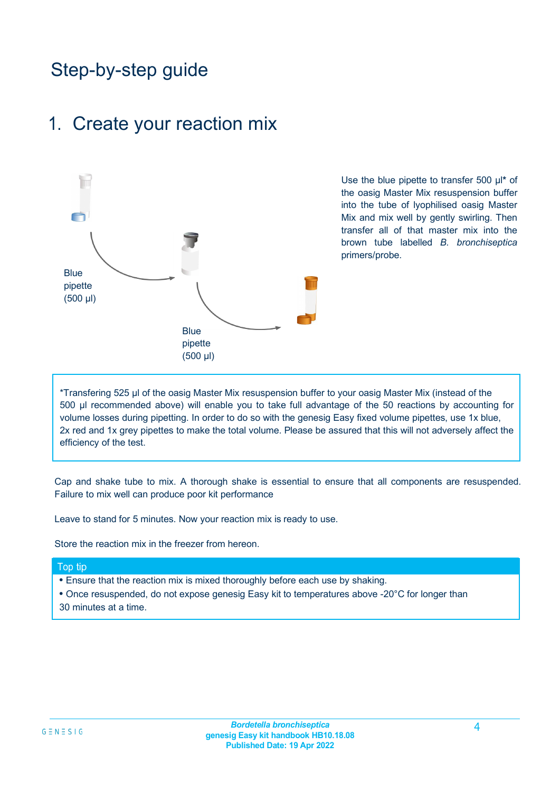## Step-by-step guide

### 1. Create your reaction mix



Use the blue pipette to transfer 500 µl**\*** of the oasig Master Mix resuspension buffer into the tube of lyophilised oasig Master Mix and mix well by gently swirling. Then transfer all of that master mix into the brown tube labelled *B. bronchiseptica*  primers/probe.

\*Transfering 525 µl of the oasig Master Mix resuspension buffer to your oasig Master Mix (instead of the 500 µl recommended above) will enable you to take full advantage of the 50 reactions by accounting for volume losses during pipetting. In order to do so with the genesig Easy fixed volume pipettes, use 1x blue, 2x red and 1x grey pipettes to make the total volume. Please be assured that this will not adversely affect the efficiency of the test.

Cap and shake tube to mix. A thorough shake is essential to ensure that all components are resuspended. Failure to mix well can produce poor kit performance

Leave to stand for 5 minutes. Now your reaction mix is ready to use.

Store the reaction mix in the freezer from hereon.

#### Top tip

- Ensure that the reaction mix is mixed thoroughly before each use by shaking.
- Once resuspended, do not expose genesig Easy kit to temperatures above -20°C for longer than
- 30 minutes at a time.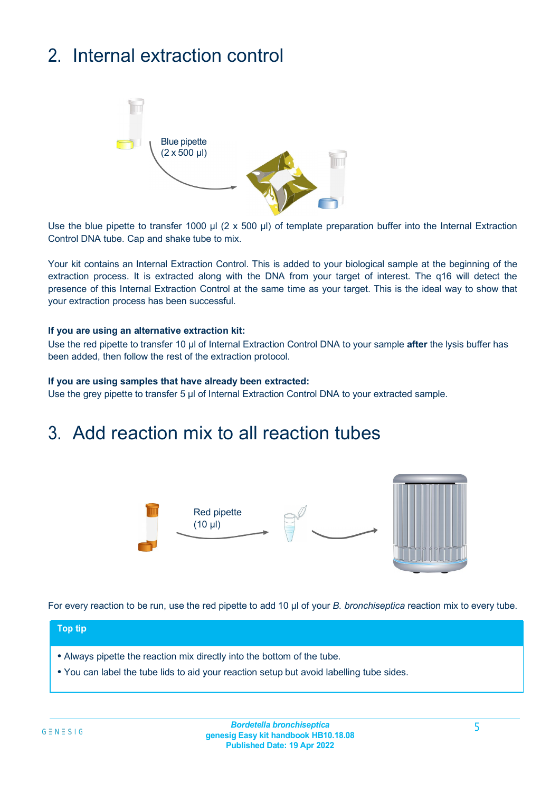## 2. Internal extraction control



Use the blue pipette to transfer 1000 µl (2 x 500 µl) of template preparation buffer into the Internal Extraction Control DNA tube. Cap and shake tube to mix.

Your kit contains an Internal Extraction Control. This is added to your biological sample at the beginning of the extraction process. It is extracted along with the DNA from your target of interest. The q16 will detect the presence of this Internal Extraction Control at the same time as your target. This is the ideal way to show that your extraction process has been successful.

#### **If you are using an alternative extraction kit:**

Use the red pipette to transfer 10 µl of Internal Extraction Control DNA to your sample **after** the lysis buffer has been added, then follow the rest of the extraction protocol.

#### **If you are using samples that have already been extracted:**

Use the grey pipette to transfer 5 µl of Internal Extraction Control DNA to your extracted sample.

### 3. Add reaction mix to all reaction tubes



For every reaction to be run, use the red pipette to add 10 µl of your *B. bronchiseptica* reaction mix to every tube.

#### **Top tip**

- Always pipette the reaction mix directly into the bottom of the tube.
- You can label the tube lids to aid your reaction setup but avoid labelling tube sides.

*Bordetella bronchiseptica* **genesig Easy kit handbook HB10.18.08 Published Date: 19 Apr 2022**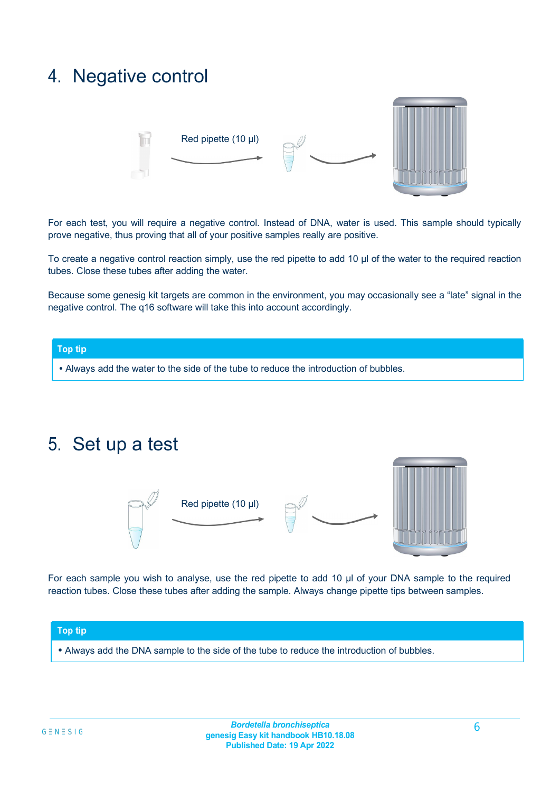### 4. Negative control



For each test, you will require a negative control. Instead of DNA, water is used. This sample should typically prove negative, thus proving that all of your positive samples really are positive.

To create a negative control reaction simply, use the red pipette to add 10 µl of the water to the required reaction tubes. Close these tubes after adding the water.

Because some genesig kit targets are common in the environment, you may occasionally see a "late" signal in the negative control. The q16 software will take this into account accordingly.

#### **Top tip**

**•** Always add the water to the side of the tube to reduce the introduction of bubbles.

### 5. Set up a test





For each sample you wish to analyse, use the red pipette to add 10 µl of your DNA sample to the required reaction tubes. Close these tubes after adding the sample. Always change pipette tips between samples.

#### **Top tip**

**•** Always add the DNA sample to the side of the tube to reduce the introduction of bubbles.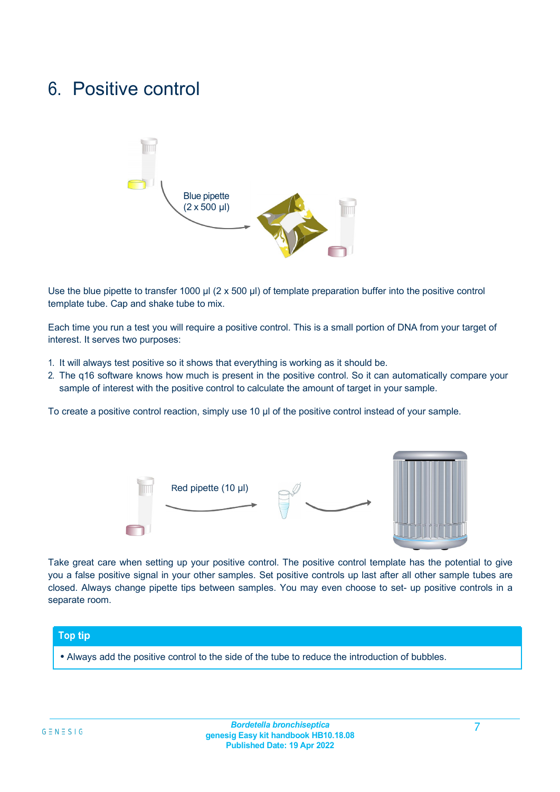### 6. Positive control



Use the blue pipette to transfer 1000  $\mu$ l (2 x 500  $\mu$ ) of template preparation buffer into the positive control template tube. Cap and shake tube to mix.

Each time you run a test you will require a positive control. This is a small portion of DNA from your target of interest. It serves two purposes:

- 1. It will always test positive so it shows that everything is working as it should be.
- 2. The q16 software knows how much is present in the positive control. So it can automatically compare your sample of interest with the positive control to calculate the amount of target in your sample.

To create a positive control reaction, simply use 10 ul of the positive control instead of your sample.



Take great care when setting up your positive control. The positive control template has the potential to give you a false positive signal in your other samples. Set positive controls up last after all other sample tubes are closed. Always change pipette tips between samples. You may even choose to set- up positive controls in a separate room.

#### **Top tip**

**•** Always add the positive control to the side of the tube to reduce the introduction of bubbles.

7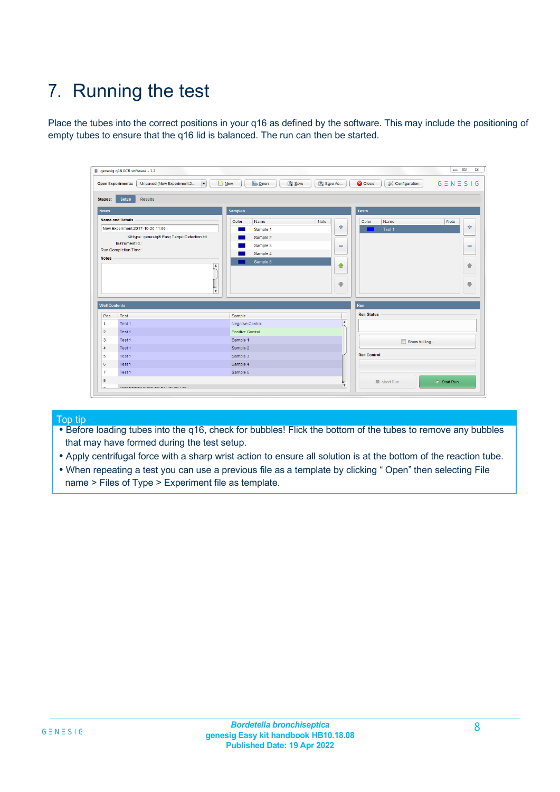## 7. Running the test

Place the tubes into the correct positions in your q16 as defined by the software. This may include the positioning of empty tubes to ensure that the q16 lid is balanced. The run can then be started.

|                         | genesig q16 PCR software - 1.2                                               |                                            |                              |                                          | $\Box$<br>$\Sigma\!3$        |
|-------------------------|------------------------------------------------------------------------------|--------------------------------------------|------------------------------|------------------------------------------|------------------------------|
|                         | $\vert \cdot \vert$<br>Unsaved (New Experiment 2<br><b>Open Experiments:</b> | <b>D</b> Open<br>Save<br>$\frac{1}{2}$ New | Save As                      | <b>C</b> Close<br><b>X</b> Configuration | $G \equiv N \equiv S \mid G$ |
| Stages:                 | Setup<br><b>Results</b>                                                      |                                            |                              |                                          |                              |
| <b>Notes</b>            |                                                                              | <b>Samples</b>                             |                              | <b>Tests</b>                             |                              |
|                         | <b>Name and Details</b>                                                      | Color<br>Name                              | Note                         | Color<br>Name                            | Note                         |
|                         | New Experiment 2017-10-26 11:06                                              | Sample 1                                   | $\oplus$                     | Test 1                                   | $\oplus$                     |
|                         | Kit type: genesig® Easy Target Detection kit                                 | Sample 2                                   |                              |                                          |                              |
|                         | Instrument Id.:                                                              | Sample 3                                   | $\qquad \qquad \blacksquare$ |                                          | $\qquad \qquad \blacksquare$ |
|                         | <b>Run Completion Time:</b>                                                  | Sample 4                                   |                              |                                          |                              |
| <b>Notes</b>            |                                                                              | Sample 5                                   | ♦                            |                                          |                              |
|                         | $\blacktriangle$                                                             |                                            |                              |                                          | 一                            |
|                         |                                                                              |                                            |                              |                                          |                              |
|                         |                                                                              |                                            | æ.                           |                                          | ⊕                            |
|                         | $\overline{\mathbf{v}}$                                                      |                                            |                              |                                          |                              |
| <b>Well Contents</b>    |                                                                              |                                            |                              | Run                                      |                              |
| Pos.                    | Test                                                                         | Sample                                     |                              | <b>Run Status</b>                        |                              |
| $\mathbf{1}$            | Test 1                                                                       | <b>Negative Control</b>                    | $\blacktriangle$             |                                          |                              |
| $\overline{2}$          | Test 1                                                                       | Positive Control                           |                              |                                          |                              |
| $\overline{\mathbf{3}}$ | Test 1                                                                       | Sample 1                                   |                              | Show full log                            |                              |
| $\overline{4}$          | Test 1                                                                       | Sample 2                                   |                              |                                          |                              |
| 5                       | Test 1                                                                       | Sample 3                                   |                              | <b>Run Control</b>                       |                              |
| 6                       | Test 1                                                                       | Sample 4                                   |                              |                                          |                              |
| $\overline{7}$          | Test 1                                                                       | Sample 5                                   |                              |                                          |                              |
|                         |                                                                              |                                            |                              |                                          |                              |
| 8                       |                                                                              |                                            | v                            | Abort Run                                | $\triangleright$ Start Run   |

Top tip

- Before loading tubes into the q16, check for bubbles! Flick the bottom of the tubes to remove any bubbles that may have formed during the test setup.
- Apply centrifugal force with a sharp wrist action to ensure all solution is at the bottom of the reaction tube.
- When repeating a test you can use a previous file as a template by clicking " Open" then selecting File name > Files of Type > Experiment file as template.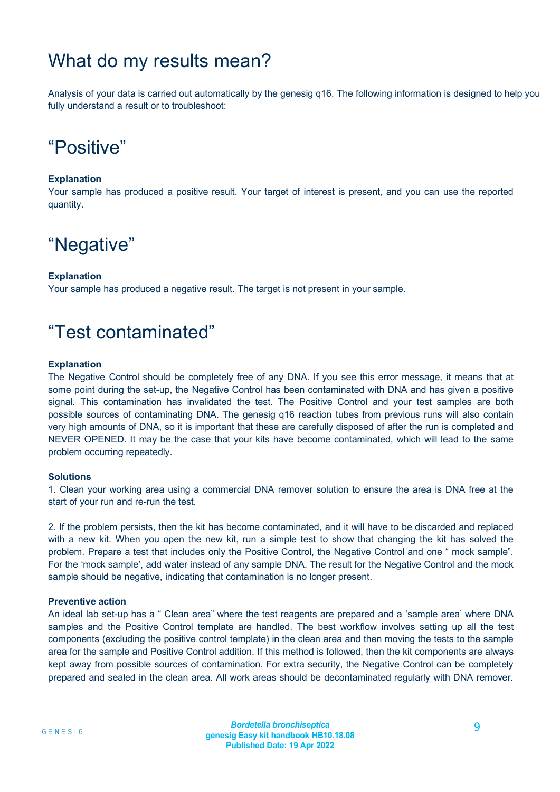## What do my results mean?

Analysis of your data is carried out automatically by the genesig q16. The following information is designed to help you fully understand a result or to troubleshoot:

## "Positive"

### **Explanation**

Your sample has produced a positive result. Your target of interest is present, and you can use the reported quantity.

## "Negative"

### **Explanation**

Your sample has produced a negative result. The target is not present in your sample.

### "Test contaminated"

### **Explanation**

The Negative Control should be completely free of any DNA. If you see this error message, it means that at some point during the set-up, the Negative Control has been contaminated with DNA and has given a positive signal. This contamination has invalidated the test. The Positive Control and your test samples are both possible sources of contaminating DNA. The genesig q16 reaction tubes from previous runs will also contain very high amounts of DNA, so it is important that these are carefully disposed of after the run is completed and NEVER OPENED. It may be the case that your kits have become contaminated, which will lead to the same problem occurring repeatedly.

### **Solutions**

1. Clean your working area using a commercial DNA remover solution to ensure the area is DNA free at the start of your run and re-run the test.

2. If the problem persists, then the kit has become contaminated, and it will have to be discarded and replaced with a new kit. When you open the new kit, run a simple test to show that changing the kit has solved the problem. Prepare a test that includes only the Positive Control, the Negative Control and one " mock sample". For the 'mock sample', add water instead of any sample DNA. The result for the Negative Control and the mock sample should be negative, indicating that contamination is no longer present.

### **Preventive action**

An ideal lab set-up has a " Clean area" where the test reagents are prepared and a 'sample area' where DNA samples and the Positive Control template are handled. The best workflow involves setting up all the test components (excluding the positive control template) in the clean area and then moving the tests to the sample area for the sample and Positive Control addition. If this method is followed, then the kit components are always kept away from possible sources of contamination. For extra security, the Negative Control can be completely prepared and sealed in the clean area. All work areas should be decontaminated regularly with DNA remover.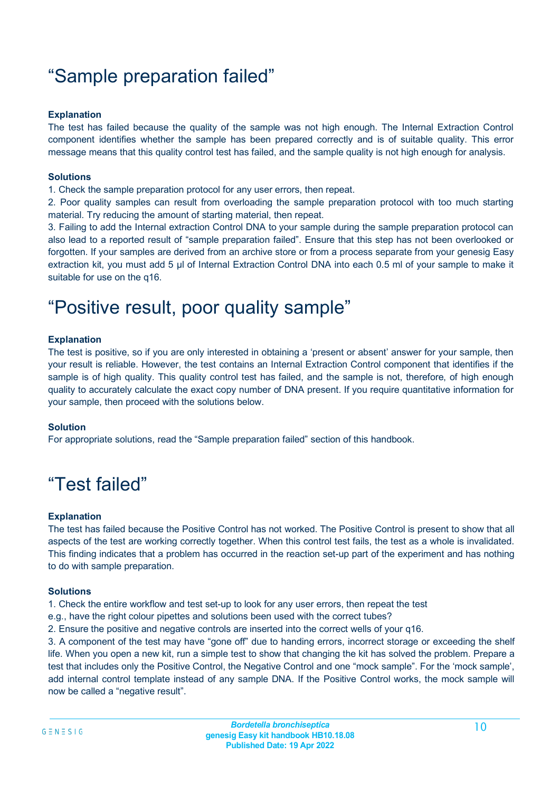## "Sample preparation failed"

### **Explanation**

The test has failed because the quality of the sample was not high enough. The Internal Extraction Control component identifies whether the sample has been prepared correctly and is of suitable quality. This error message means that this quality control test has failed, and the sample quality is not high enough for analysis.

### **Solutions**

1. Check the sample preparation protocol for any user errors, then repeat.

2. Poor quality samples can result from overloading the sample preparation protocol with too much starting material. Try reducing the amount of starting material, then repeat.

3. Failing to add the Internal extraction Control DNA to your sample during the sample preparation protocol can also lead to a reported result of "sample preparation failed". Ensure that this step has not been overlooked or forgotten. If your samples are derived from an archive store or from a process separate from your genesig Easy extraction kit, you must add 5 µl of Internal Extraction Control DNA into each 0.5 ml of your sample to make it suitable for use on the q16.

### "Positive result, poor quality sample"

### **Explanation**

The test is positive, so if you are only interested in obtaining a 'present or absent' answer for your sample, then your result is reliable. However, the test contains an Internal Extraction Control component that identifies if the sample is of high quality. This quality control test has failed, and the sample is not, therefore, of high enough quality to accurately calculate the exact copy number of DNA present. If you require quantitative information for your sample, then proceed with the solutions below.

### **Solution**

For appropriate solutions, read the "Sample preparation failed" section of this handbook.

## "Test failed"

### **Explanation**

The test has failed because the Positive Control has not worked. The Positive Control is present to show that all aspects of the test are working correctly together. When this control test fails, the test as a whole is invalidated. This finding indicates that a problem has occurred in the reaction set-up part of the experiment and has nothing to do with sample preparation.

### **Solutions**

1. Check the entire workflow and test set-up to look for any user errors, then repeat the test

e.g., have the right colour pipettes and solutions been used with the correct tubes?

2. Ensure the positive and negative controls are inserted into the correct wells of your q16.

3. A component of the test may have "gone off" due to handing errors, incorrect storage or exceeding the shelf life. When you open a new kit, run a simple test to show that changing the kit has solved the problem. Prepare a test that includes only the Positive Control, the Negative Control and one "mock sample". For the 'mock sample', add internal control template instead of any sample DNA. If the Positive Control works, the mock sample will now be called a "negative result".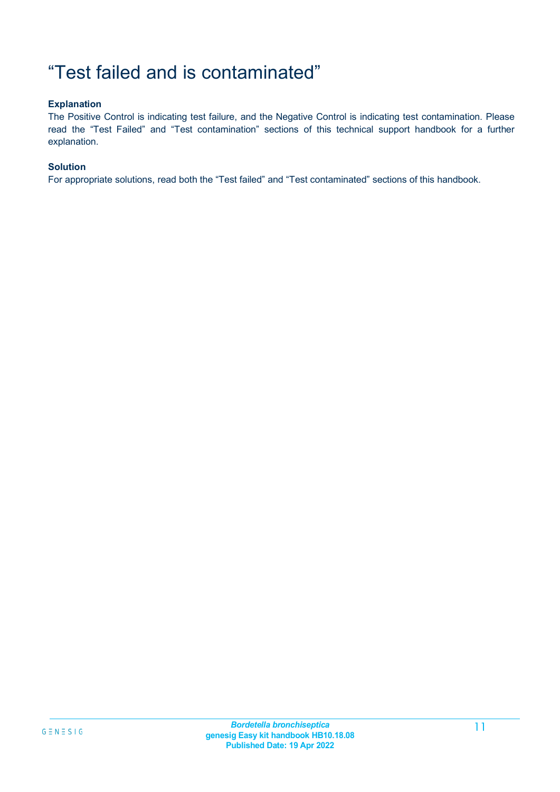## "Test failed and is contaminated"

### **Explanation**

The Positive Control is indicating test failure, and the Negative Control is indicating test contamination. Please read the "Test Failed" and "Test contamination" sections of this technical support handbook for a further explanation.

### **Solution**

For appropriate solutions, read both the "Test failed" and "Test contaminated" sections of this handbook.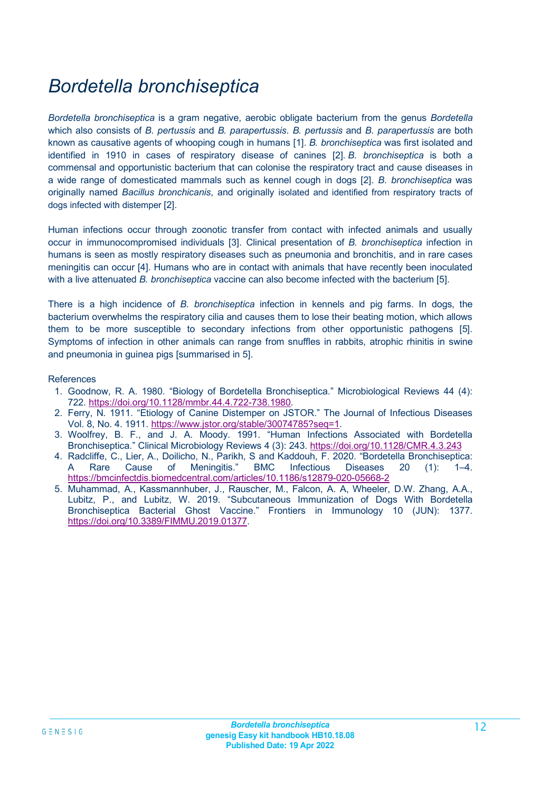## *Bordetella bronchiseptica*

*Bordetella bronchiseptica* is a gram negative, aerobic obligate bacterium from the genus *Bordetella* which also consists of *B. pertussis* and *B. parapertussis*. *B. pertussis* and *B. parapertussis* are both known as causative agents of whooping cough in humans [1]. *B. bronchiseptica* was first isolated and identified in 1910 in cases of respiratory disease of canines [2]. *B. bronchiseptica* is both a commensal and opportunistic bacterium that can colonise the respiratory tract and cause diseases in a wide range of domesticated mammals such as kennel cough in dogs [2]. *B. bronchiseptica* was originally named *Bacillus bronchicanis*, and originally isolated and identified from respiratory tracts of dogs infected with distemper [2].

Human infections occur through zoonotic transfer from contact with infected animals and usually occur in immunocompromised individuals [3]. Clinical presentation of *B. bronchiseptica* infection in humans is seen as mostly respiratory diseases such as pneumonia and bronchitis, and in rare cases meningitis can occur [4]. Humans who are in contact with animals that have recently been inoculated with a live attenuated *B. bronchiseptica* vaccine can also become infected with the bacterium [5].

There is a high incidence of *B. bronchiseptica* infection in kennels and pig farms. In dogs, the bacterium overwhelms the respiratory cilia and causes them to lose their beating motion, which allows them to be more susceptible to secondary infections from other opportunistic pathogens [5]. Symptoms of infection in other animals can range from snuffles in rabbits, atrophic rhinitis in swine and pneumonia in guinea pigs [summarised in 5].

#### References

- 1. Goodnow, R. A. 1980. "Biology of Bordetella Bronchiseptica." Microbiological Reviews 44 (4): 722. [https://doi.org/10.1128/mmbr.44.4.722-738.1980.](https://doi.org/10.1128/mmbr.44.4.722-738.1980)
- 2. Ferry, N. 1911. "Etiology of Canine Distemper on JSTOR." The Journal of Infectious Diseases Vol. 8, No. 4. 1911. [https://www.jstor.org/stable/30074785?seq=1.](https://www.jstor.org/stable/30074785?seq=1)
- 3. Woolfrey, B. F., and J. A. Moody. 1991. "Human Infections Associated with Bordetella Bronchiseptica." Clinical Microbiology Reviews 4 (3): 243.<https://doi.org/10.1128/CMR.4.3.243>
- 4. Radcliffe, C., Lier, A., Doilicho, N., Parikh, S and Kaddouh, F. 2020. "Bordetella Bronchiseptica: A Rare Cause of Meningitis." BMC Infectious Diseases 20 (1): 1–4. <https://bmcinfectdis.biomedcentral.com/articles/10.1186/s12879-020-05668-2>
- 5. Muhammad, A., Kassmannhuber, J., Rauscher, M., Falcon, A. A, Wheeler, D.W. Zhang, A.A., Lubitz, P., and Lubitz, W. 2019. "Subcutaneous Immunization of Dogs With Bordetella Bronchiseptica Bacterial Ghost Vaccine." Frontiers in Immunology 10 (JUN): 1377. [https://doi.org/10.3389/FIMMU.2019.01377.](https://doi.org/10.3389/FIMMU.2019.01377)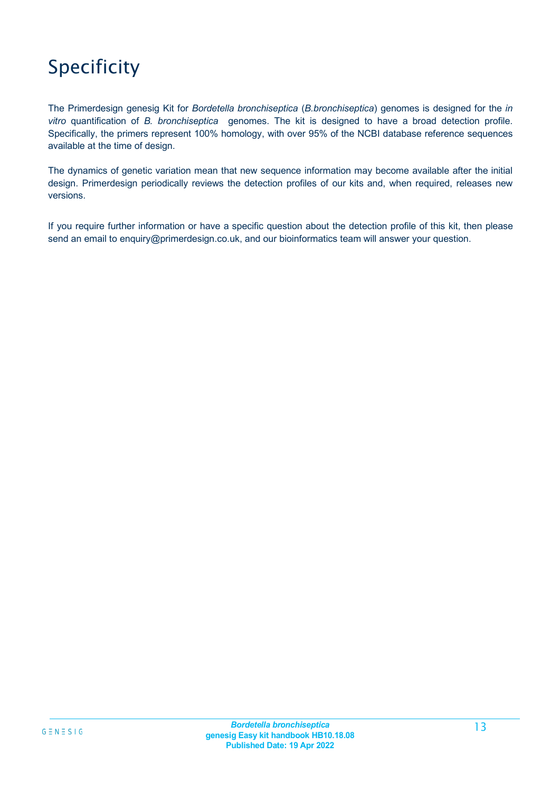# Specificity

The Primerdesign genesig Kit for *Bordetella bronchiseptica* (*B.bronchiseptica*) genomes is designed for the *in vitro* quantification of *B. bronchiseptica* genomes. The kit is designed to have a broad detection profile. Specifically, the primers represent 100% homology, with over 95% of the NCBI database reference sequences available at the time of design.

The dynamics of genetic variation mean that new sequence information may become available after the initial design. Primerdesign periodically reviews the detection profiles of our kits and, when required, releases new versions.

If you require further information or have a specific question about the detection profile of this kit, then please send an email to [enquiry@primerdesign.co.uk,](mailto:enquiry@primerdesign.co.uk) and our bioinformatics team will answer your question.